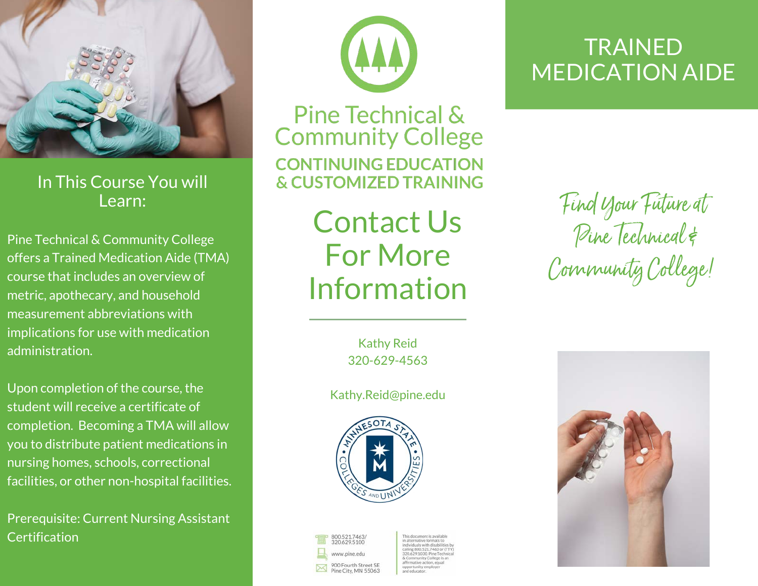

In This Course You will Learn:

Pine Technical & Community College offers a Trained Medication Aide (TMA) course that includes an overview of metric, apothecary, and household measurement abbreviations with implications for use with medication administration.

Upon completion of the course, the student will receive a certificate of completion. Becoming a TMA will allow you to distribute patient medications in nursing homes, schools, correctional facilities, or other non-hospital facilities.

Prerequisite: Current Nursing Assistant **Certification** 



Pine Technical & **Community College CONTINUING EDUCATION & CUSTOMIZED TRAINING** 

> Contact Us For More Information

> > Kathy Reid 320-629-4563

Kathy.Reid@pine.edu



800.521.7463/<br>320.629.5100 www.nine.edu 900 Fourth Street SE<br>Pine City, MN 55063

## **TRAINED** MEDICATION AIDE

Find Your Future at Pine Technical & Community College!